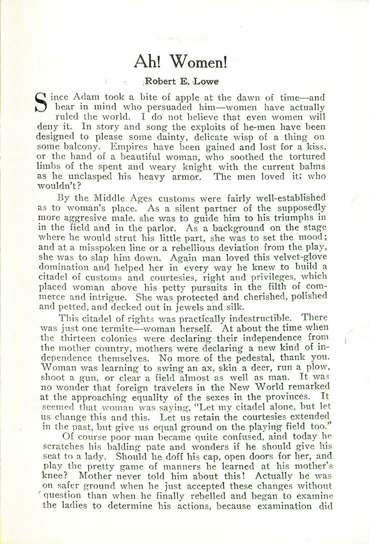## **Ah! Women!**

## ;Robert **E.** Lowe

S ince Adam took a bite of apple at the dawn of time-a<br>bear in mind who persuaded him-women have actual bear in mind who persuaded him-women have actuall ruled the world. I do not believe that even women will deny it. In story and song the exploits of he-men have been designed to please some dainty, delicate wisp of a thing on some balcony. Empires have been gained and lost for a kiss, or the hand of a beautiful woman, who soothed the tortured limbs of the spent and weary knight with the current balms as he unclasped his heavy armor. The men loved it; who wouldn't?

By the Middle Ages customs were fairly well-established as to woman's place. As a silent partner of the supposedly more aggresive male. she was to guide him to his triumphs in in the field and in the parlor. As a background on the stage where he would strut his little part, she was to set the mood; and at a misspoken line or a rebellious deviation from the play, she was to slap him down. Again man loved this velvet-glove domination and helped her in every way he knew to build a citadel of customs and courtesies, right and privileges, which placed woman above his petty pursuits in the filth of commerce and intrigue. She was protected and cherished, polished and petted, and decked out in jewels and silk.

This citadel of rights was practically indestructible. There was just one termite-woman herself. At about the time when the thirteen colonies were declaring their independence from the mother country, mothers were declaring a new kind of independence themselves. No more of the pedestal, thank you. Woman was learning to swing an ax, skin a deer, run a plow, shoot <sup>a</sup> gun, or clear <sup>a</sup> field almost as well as man. It was no wonder that foreign travelers in the New World remarked at the approaching equality of the sexes in the provinces. It seemed that woman was saying, "Let my citadel alone, but let us change this and this. Let us retain the courtesies extended in the past, but give us equal ground on the playing field too."

Of course poor man became quite confused, aind today he scratches his balding pate and wonders if he should give his seat to a lady. Should he doff his cap, open doors for her, and play the pretty game of manners he learned at his mother's knee? Mother never told him about this! Actually he was on safer ground when he just accepted these changes without : question than when he finally rebelled and began to examine the ladies to determine his actions, because examination did